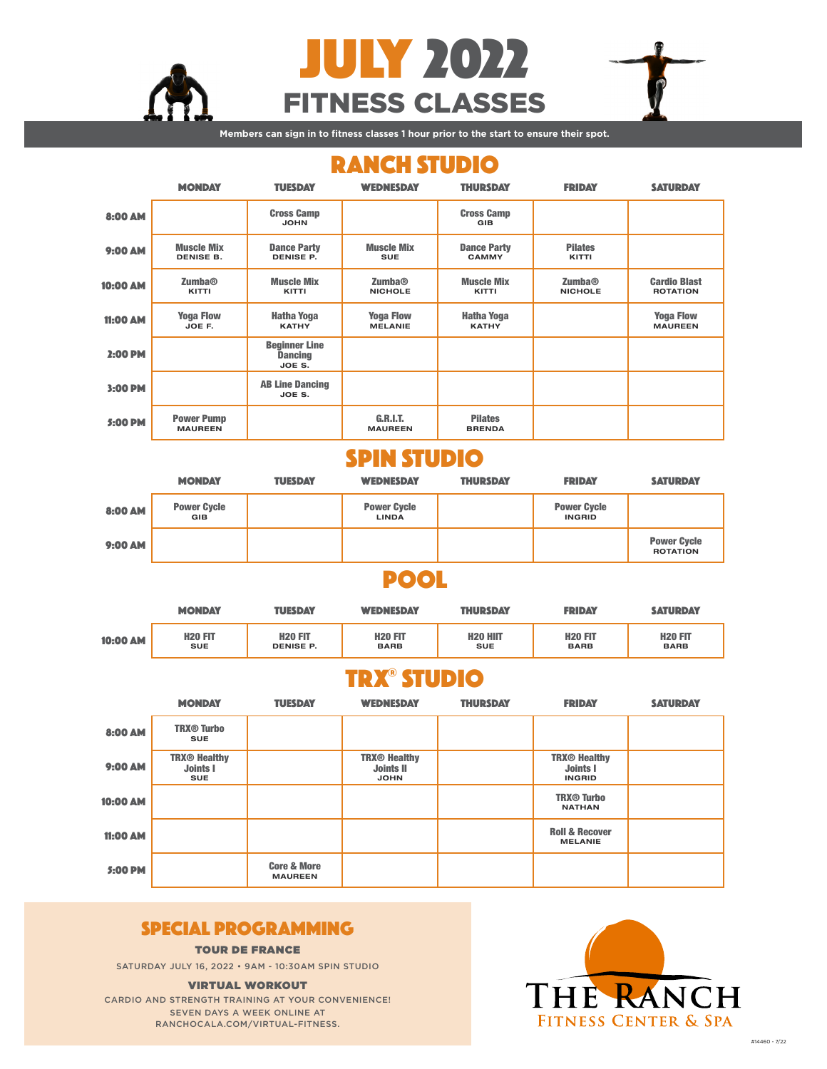

FITNESS CLASSES JULY 2022

**Figure 2.1 Members can sign in to fitness classes 1 hour prior to the start to ensure their spot.** 

# RANCH STUDIO

|                 | <b>MONDAY</b>                         | <b>TUESDAY</b>                                   | <b>WEDNESDAY</b>                            | <b>THURSDAY</b>                    | <b>FRIDAY</b>            | <b>SATURDAY</b>                        |
|-----------------|---------------------------------------|--------------------------------------------------|---------------------------------------------|------------------------------------|--------------------------|----------------------------------------|
| 8:00 AM         |                                       | <b>Cross Camp</b><br><b>JOHN</b>                 |                                             | <b>Cross Camp</b><br><b>GIB</b>    |                          |                                        |
| 9:00 AM         | <b>Muscle Mix</b><br><b>DENISE B.</b> | <b>Dance Party</b><br><b>DENISE P.</b>           | <b>Muscle Mix</b><br><b>SUE</b>             | <b>Dance Party</b><br><b>CAMMY</b> | <b>Pilates</b><br>KITTI  |                                        |
| 10:00 AM        | Zumba@<br>KITTI                       | <b>Muscle Mix</b><br>KITTI                       | <b>Zumba</b> <sup>®</sup><br><b>NICHOLE</b> | <b>Muscle Mix</b><br>KITTI         | Zumba@<br><b>NICHOLE</b> | <b>Cardio Blast</b><br><b>ROTATION</b> |
| <b>11:00 AM</b> | <b>Yoga Flow</b><br>JOE F.            | <b>Hatha Yoga</b><br><b>KATHY</b>                | <b>Yoga Flow</b><br><b>MELANIE</b>          | <b>Hatha Yoga</b><br><b>KATHY</b>  |                          | <b>Yoga Flow</b><br><b>MAUREEN</b>     |
| 2:00 PM         |                                       | <b>Beginner Line</b><br><b>Dancing</b><br>JOE S. |                                             |                                    |                          |                                        |
| 3:00 PM         |                                       | <b>AB Line Dancing</b><br>JOE S.                 |                                             |                                    |                          |                                        |
| 5:00 PM         | <b>Power Pump</b><br><b>MAUREEN</b>   |                                                  | <b>G.R.I.T.</b><br><b>MAUREEN</b>           | <b>Pilates</b><br><b>BRENDA</b>    |                          |                                        |

## SPIN STUDIO

|         | <b>MONDAY</b>                    | <b>TUESDAY</b> | <b>WEDNESDAY</b>                   | <b>THURSDAY</b> | <b>FRIDAY</b>                       | <b>SATURDAY</b>                       |
|---------|----------------------------------|----------------|------------------------------------|-----------------|-------------------------------------|---------------------------------------|
| 8:00 AM | <b>Power Cycle</b><br><b>GIB</b> |                | <b>Power Cycle</b><br><b>LINDA</b> |                 | <b>Power Cycle</b><br><b>INGRID</b> |                                       |
| 9:00 AM |                                  |                |                                    |                 |                                     | <b>Power Cycle</b><br><b>ROTATION</b> |

## POOL

|          | <b>MONDAY</b>  | <b>TUESDAY</b>   | <b>WEDNESDAY</b> | <b>THURSDAY</b> | <b>FRIDAY</b>  | <b>SATURDAY</b> |
|----------|----------------|------------------|------------------|-----------------|----------------|-----------------|
| 10:00 AM | <b>H20 FIT</b> | <b>H20 FIT</b>   | <b>H20 FIT</b>   | <b>H20 HIIT</b> | <b>H20 FIT</b> | <b>H20 FIT</b>  |
|          | <b>SUE</b>     | <b>DENISE P.</b> | <b>BARB</b>      | <b>SUE</b>      | <b>BARB</b>    | <b>BARB</b>     |

## TRX® STUDIO

|                 | <b>MONDAY</b>                                        | <b>TUESDAY</b>                           | <b>WEDNESDAY</b>                                                  | <b>THURSDAY</b> | <b>FRIDAY</b>                                    | <b>SATURDAY</b> |
|-----------------|------------------------------------------------------|------------------------------------------|-------------------------------------------------------------------|-----------------|--------------------------------------------------|-----------------|
| 8:00 AM         | <b>TRX<sup>®</sup> Turbo</b><br><b>SUE</b>           |                                          |                                                                   |                 |                                                  |                 |
| 9:00 AM         | <b>TRX® Healthy</b><br><b>Joints I</b><br><b>SUE</b> |                                          | <b>TRX<sup>®</sup></b> Healthy<br><b>Joints II</b><br><b>JOHN</b> |                 | <b>TRX® Healthy</b><br>Joints I<br><b>INGRID</b> |                 |
| <b>10:00 AM</b> |                                                      |                                          |                                                                   |                 | <b>TRX<sup>®</sup> Turbo</b><br><b>NATHAN</b>    |                 |
| <b>11:00 AM</b> |                                                      |                                          |                                                                   |                 | <b>Roll &amp; Recover</b><br><b>MELANIE</b>      |                 |
| 5:00 PM         |                                                      | <b>Core &amp; More</b><br><b>MAUREEN</b> |                                                                   |                 |                                                  |                 |

## SPECIAL PROGRAMMING

TOUR DE FRANCE

SATURDAY JULY 16, 2022 • 9AM - 10:30AM SPIN STUDIO

#### VIRTUAL WORKOUT

CARDIO AND STRENGTH TRAINING AT YOUR CONVENIENCE! SEVEN DAYS A WEEK ONLINE AT RANCHOCALA.COM/VIRTUAL-FITNESS.